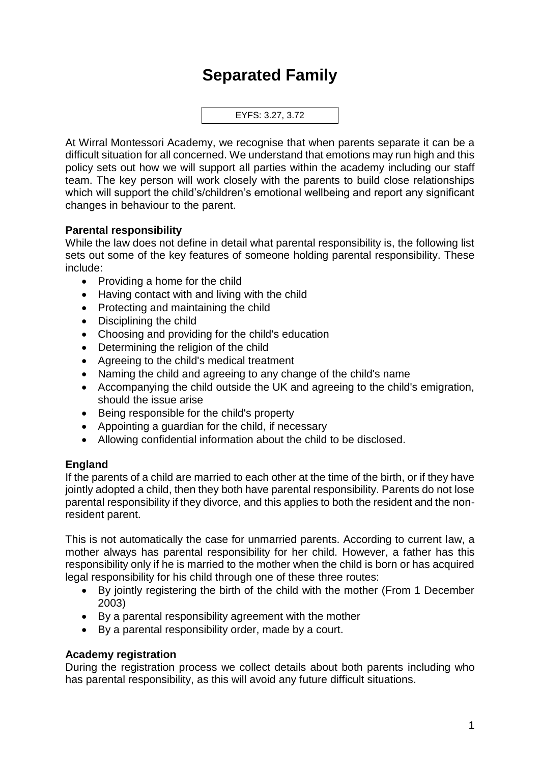# **Separated Family**



At Wirral Montessori Academy, we recognise that when parents separate it can be a difficult situation for all concerned. We understand that emotions may run high and this policy sets out how we will support all parties within the academy including our staff team. The key person will work closely with the parents to build close relationships which will support the child's/children's emotional wellbeing and report any significant changes in behaviour to the parent.

## **Parental responsibility**

While the law does not define in detail what parental responsibility is, the following list sets out some of the key features of someone holding parental responsibility. These include:

- Providing a home for the child
- Having contact with and living with the child
- Protecting and maintaining the child
- Disciplining the child
- Choosing and providing for the child's education
- Determining the religion of the child
- Agreeing to the child's medical treatment
- Naming the child and agreeing to any change of the child's name
- Accompanying the child outside the UK and agreeing to the child's emigration, should the issue arise
- Being responsible for the child's property
- Appointing a guardian for the child, if necessary
- Allowing confidential information about the child to be disclosed.

#### **England**

If the parents of a child are married to each other at the time of the birth, or if they have jointly adopted a child, then they both have parental responsibility. Parents do not lose parental responsibility if they divorce, and this applies to both the resident and the nonresident parent.

This is not automatically the case for unmarried parents. According to current law, a mother always has parental responsibility for her child. However, a father has this responsibility only if he is married to the mother when the child is born or has acquired legal responsibility for his child through one of these three routes:

- By jointly registering the birth of the child with the mother (From 1 December 2003)
- By a parental responsibility agreement with the mother
- By a parental responsibility order, made by a court.

#### **Academy registration**

During the registration process we collect details about both parents including who has parental responsibility, as this will avoid any future difficult situations.